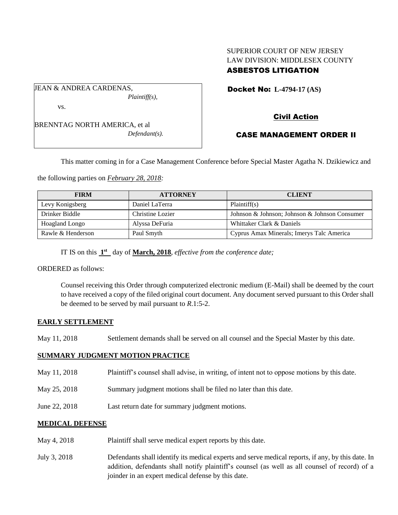## SUPERIOR COURT OF NEW JERSEY LAW DIVISION: MIDDLESEX COUNTY ASBESTOS LITIGATION

Docket No: **L-4794-17 (AS)** 

vs.

JEAN & ANDREA CARDENAS,

BRENNTAG NORTH AMERICA, et al *Defendant(s).*

*Plaintiff(s),*

Civil Action

# CASE MANAGEMENT ORDER II

This matter coming in for a Case Management Conference before Special Master Agatha N. Dzikiewicz and

the following parties on *February 28, 2018:*

| <b>FIRM</b>       | <b>ATTORNEY</b>  | <b>CLIENT</b>                                 |
|-------------------|------------------|-----------------------------------------------|
| Levy Konigsberg   | Daniel LaTerra   | Plaintiff(s)                                  |
| Drinker Biddle    | Christine Lozier | Johnson & Johnson; Johnson & Johnson Consumer |
| Hoagland Longo    | Alyssa DeFuria   | Whittaker Clark & Daniels                     |
| Rawle & Henderson | Paul Smyth       | Cyprus Amax Minerals; Imerys Talc America     |

IT IS on this  $1<sup>st</sup>$  day of **March, 2018**, *effective from the conference date*;

ORDERED as follows:

Counsel receiving this Order through computerized electronic medium (E-Mail) shall be deemed by the court to have received a copy of the filed original court document. Any document served pursuant to this Order shall be deemed to be served by mail pursuant to *R*.1:5-2.

### **EARLY SETTLEMENT**

May 11, 2018 Settlement demands shall be served on all counsel and the Special Master by this date.

### **SUMMARY JUDGMENT MOTION PRACTICE**

- May 11, 2018 Plaintiff's counsel shall advise, in writing, of intent not to oppose motions by this date.
- May 25, 2018 Summary judgment motions shall be filed no later than this date.
- June 22, 2018 Last return date for summary judgment motions.

### **MEDICAL DEFENSE**

- May 4, 2018 Plaint if shall serve medical expert reports by this date.
- July 3, 2018 Defendants shall identify its medical experts and serve medical reports, if any, by this date. In addition, defendants shall notify plaintiff's counsel (as well as all counsel of record) of a joinder in an expert medical defense by this date.